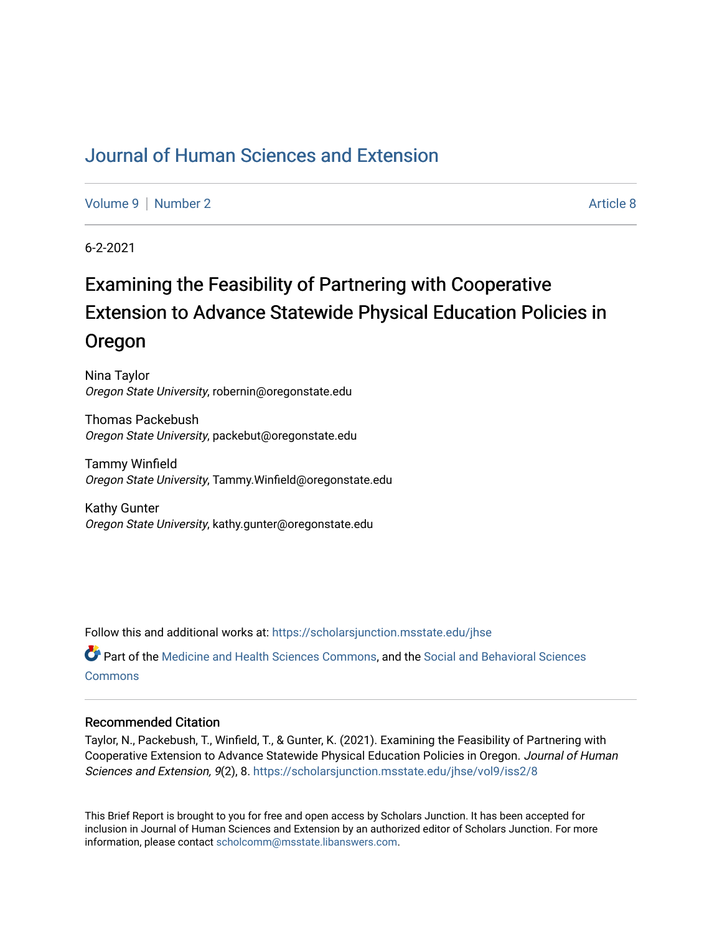## [Journal of Human Sciences and Extension](https://scholarsjunction.msstate.edu/jhse)

[Volume 9](https://scholarsjunction.msstate.edu/jhse/vol9) | [Number 2](https://scholarsjunction.msstate.edu/jhse/vol9/iss2) Article 8

6-2-2021

# Examining the Feasibility of Partnering with Cooperative Extension to Advance Statewide Physical Education Policies in Oregon

Nina Taylor Oregon State University, robernin@oregonstate.edu

Thomas Packebush Oregon State University, packebut@oregonstate.edu

Tammy Winfield Oregon State University, Tammy.Winfield@oregonstate.edu

Kathy Gunter Oregon State University, kathy.gunter@oregonstate.edu

Follow this and additional works at: [https://scholarsjunction.msstate.edu/jhse](https://scholarsjunction.msstate.edu/jhse?utm_source=scholarsjunction.msstate.edu%2Fjhse%2Fvol9%2Fiss2%2F8&utm_medium=PDF&utm_campaign=PDFCoverPages)

Part of the [Medicine and Health Sciences Commons,](http://network.bepress.com/hgg/discipline/648?utm_source=scholarsjunction.msstate.edu%2Fjhse%2Fvol9%2Fiss2%2F8&utm_medium=PDF&utm_campaign=PDFCoverPages) and the [Social and Behavioral Sciences](http://network.bepress.com/hgg/discipline/316?utm_source=scholarsjunction.msstate.edu%2Fjhse%2Fvol9%2Fiss2%2F8&utm_medium=PDF&utm_campaign=PDFCoverPages) **[Commons](http://network.bepress.com/hgg/discipline/316?utm_source=scholarsjunction.msstate.edu%2Fjhse%2Fvol9%2Fiss2%2F8&utm_medium=PDF&utm_campaign=PDFCoverPages)** 

#### Recommended Citation

Taylor, N., Packebush, T., Winfield, T., & Gunter, K. (2021). Examining the Feasibility of Partnering with Cooperative Extension to Advance Statewide Physical Education Policies in Oregon. Journal of Human Sciences and Extension, 9(2), 8. [https://scholarsjunction.msstate.edu/jhse/vol9/iss2/8](https://scholarsjunction.msstate.edu/jhse/vol9/iss2/8?utm_source=scholarsjunction.msstate.edu%2Fjhse%2Fvol9%2Fiss2%2F8&utm_medium=PDF&utm_campaign=PDFCoverPages)

This Brief Report is brought to you for free and open access by Scholars Junction. It has been accepted for inclusion in Journal of Human Sciences and Extension by an authorized editor of Scholars Junction. For more information, please contact [scholcomm@msstate.libanswers.com](mailto:scholcomm@msstate.libanswers.com).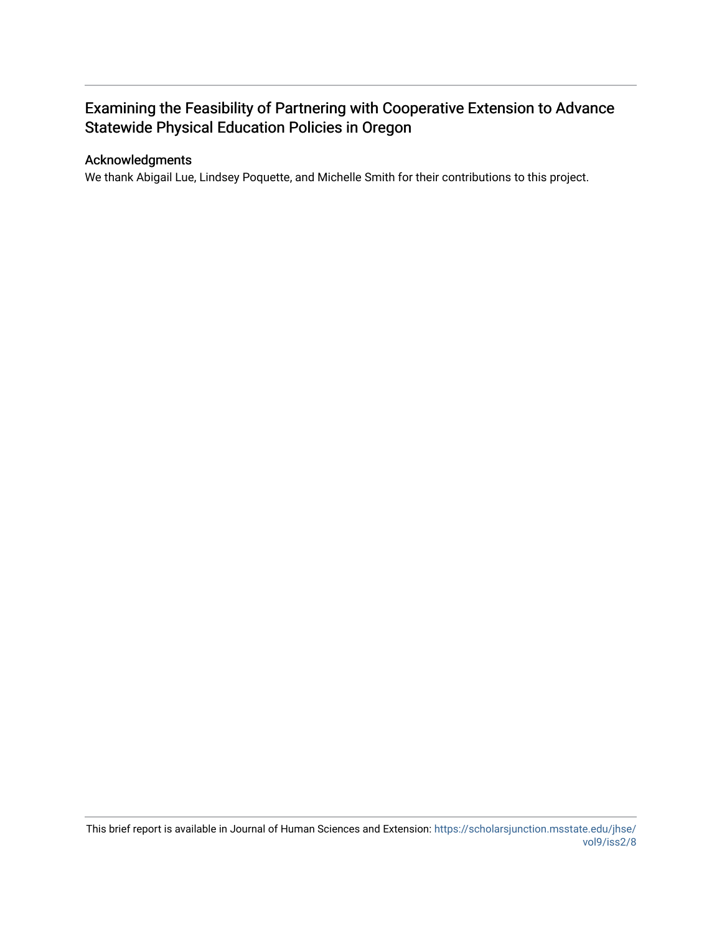## Examining the Feasibility of Partnering with Cooperative Extension to Advance Statewide Physical Education Policies in Oregon

## Acknowledgments

We thank Abigail Lue, Lindsey Poquette, and Michelle Smith for their contributions to this project.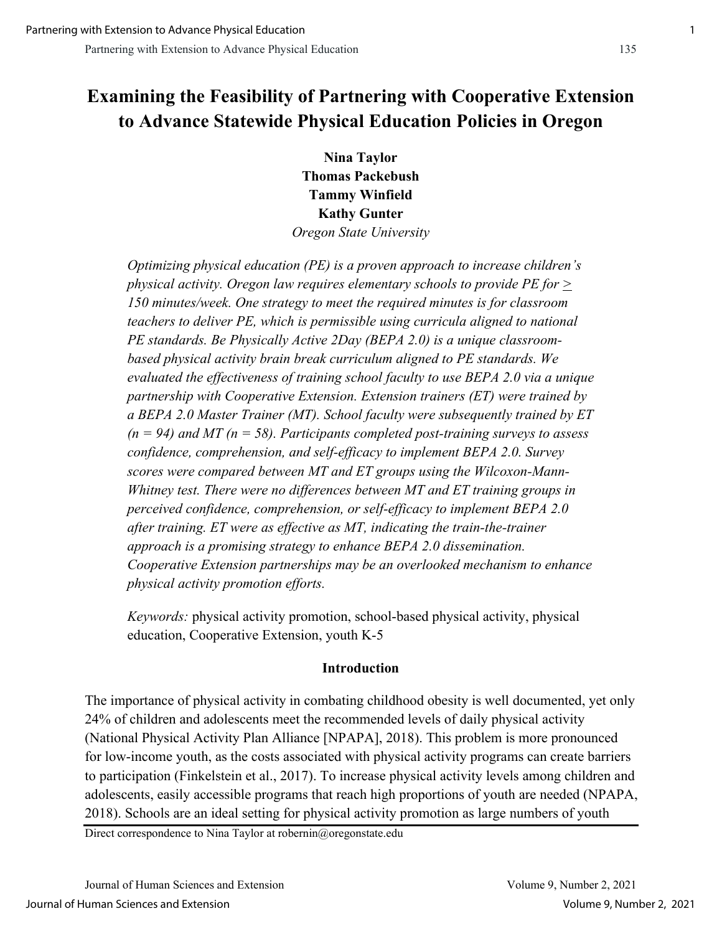# **Examining the Feasibility of Partnering with Cooperative Extension to Advance Statewide Physical Education Policies in Oregon**

**Nina Taylor Thomas Packebush Tammy Winfield Kathy Gunter** *Oregon State University*

*Optimizing physical education (PE) is a proven approach to increase children's physical activity. Oregon law requires elementary schools to provide PE for*  $\geq$ *150 minutes/week. One strategy to meet the required minutes is for classroom teachers to deliver PE, which is permissible using curricula aligned to national PE standards. Be Physically Active 2Day (BEPA 2.0) is a unique classroombased physical activity brain break curriculum aligned to PE standards. We evaluated the effectiveness of training school faculty to use BEPA 2.0 via a unique partnership with Cooperative Extension. Extension trainers (ET) were trained by a BEPA 2.0 Master Trainer (MT). School faculty were subsequently trained by ET (n = 94) and MT (n = 58). Participants completed post-training surveys to assess confidence, comprehension, and self-efficacy to implement BEPA 2.0. Survey scores were compared between MT and ET groups using the Wilcoxon-Mann-Whitney test. There were no differences between MT and ET training groups in perceived confidence, comprehension, or self-efficacy to implement BEPA 2.0 after training. ET were as effective as MT, indicating the train-the-trainer approach is a promising strategy to enhance BEPA 2.0 dissemination. Cooperative Extension partnerships may be an overlooked mechanism to enhance physical activity promotion efforts.*

*Keywords:* physical activity promotion, school-based physical activity, physical education, Cooperative Extension, youth K-5

## **Introduction**

The importance of physical activity in combating childhood obesity is well documented, yet only 24% of children and adolescents meet the recommended levels of daily physical activity (National Physical Activity Plan Alliance [NPAPA], 2018). This problem is more pronounced for low-income youth, as the costs associated with physical activity programs can create barriers to participation (Finkelstein et al., 2017). To increase physical activity levels among children and adolescents, easily accessible programs that reach high proportions of youth are needed (NPAPA, 2018). Schools are an ideal setting for physical activity promotion as large numbers of youth

Direct correspondence to Nina Taylor at robernin@oregonstate.edu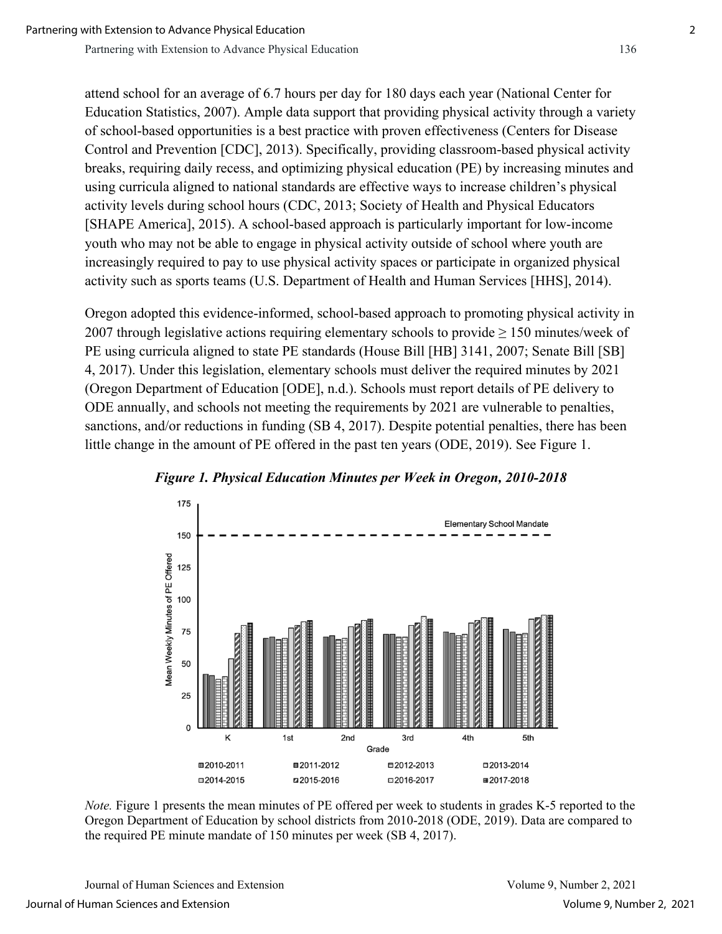attend school for an average of 6.7 hours per day for 180 days each year (National Center for Education Statistics, 2007). Ample data support that providing physical activity through a variety of school-based opportunities is a best practice with proven effectiveness (Centers for Disease Control and Prevention [CDC], 2013). Specifically, providing classroom-based physical activity breaks, requiring daily recess, and optimizing physical education (PE) by increasing minutes and using curricula aligned to national standards are effective ways to increase children's physical activity levels during school hours (CDC, 2013; Society of Health and Physical Educators [SHAPE America], 2015). A school-based approach is particularly important for low-income youth who may not be able to engage in physical activity outside of school where youth are increasingly required to pay to use physical activity spaces or participate in organized physical activity such as sports teams (U.S. Department of Health and Human Services [HHS], 2014).

Oregon adopted this evidence-informed, school-based approach to promoting physical activity in 2007 through legislative actions requiring elementary schools to provide  $\geq 150$  minutes/week of PE using curricula aligned to state PE standards (House Bill [HB] 3141, 2007; Senate Bill [SB] 4, 2017). Under this legislation, elementary schools must deliver the required minutes by 2021 (Oregon Department of Education [ODE], n.d.). Schools must report details of PE delivery to ODE annually, and schools not meeting the requirements by 2021 are vulnerable to penalties, sanctions, and/or reductions in funding (SB 4, 2017). Despite potential penalties, there has been little change in the amount of PE offered in the past ten years (ODE, 2019). See Figure 1.





*Note.* Figure 1 presents the mean minutes of PE offered per week to students in grades K-5 reported to the Oregon Department of Education by school districts from 2010-2018 (ODE, 2019). Data are compared to the required PE minute mandate of 150 minutes per week (SB 4, 2017).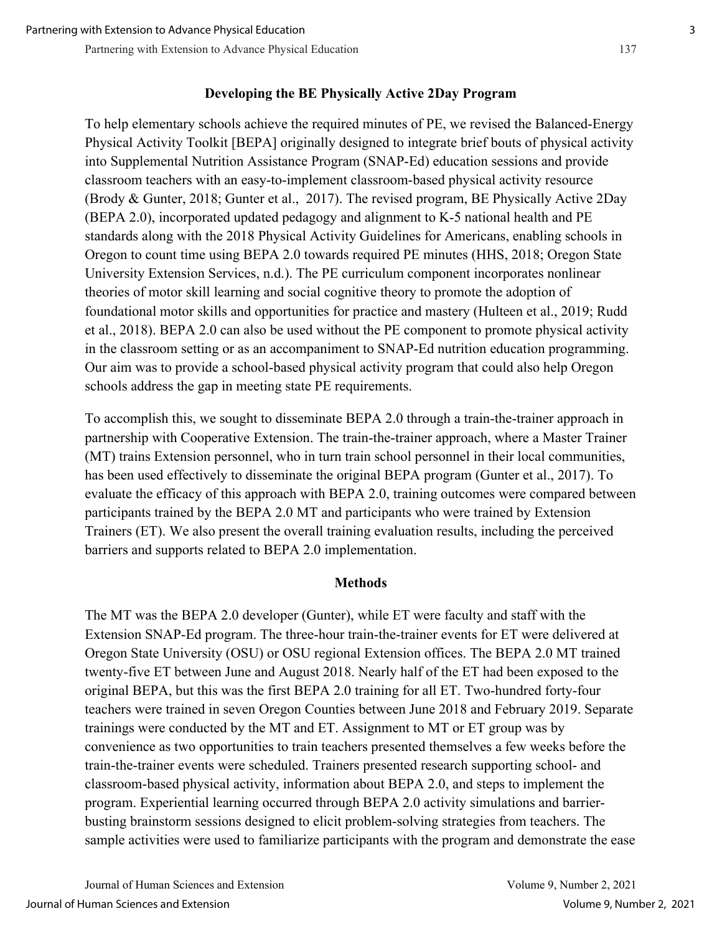#### **Developing the BE Physically Active 2Day Program**

To help elementary schools achieve the required minutes of PE, we revised the Balanced-Energy Physical Activity Toolkit [BEPA] originally designed to integrate brief bouts of physical activity into Supplemental Nutrition Assistance Program (SNAP-Ed) education sessions and provide classroom teachers with an easy-to-implement classroom-based physical activity resource (Brody & Gunter, 2018; Gunter et al., 2017). The revised program, BE Physically Active 2Day (BEPA 2.0), incorporated updated pedagogy and alignment to K-5 national health and PE standards along with the 2018 Physical Activity Guidelines for Americans, enabling schools in Oregon to count time using BEPA 2.0 towards required PE minutes (HHS, 2018; Oregon State University Extension Services, n.d.). The PE curriculum component incorporates nonlinear theories of motor skill learning and social cognitive theory to promote the adoption of foundational motor skills and opportunities for practice and mastery (Hulteen et al., 2019; Rudd et al., 2018). BEPA 2.0 can also be used without the PE component to promote physical activity in the classroom setting or as an accompaniment to SNAP-Ed nutrition education programming. Our aim was to provide a school-based physical activity program that could also help Oregon schools address the gap in meeting state PE requirements.

To accomplish this, we sought to disseminate BEPA 2.0 through a train-the-trainer approach in partnership with Cooperative Extension. The train-the-trainer approach, where a Master Trainer (MT) trains Extension personnel, who in turn train school personnel in their local communities, has been used effectively to disseminate the original BEPA program (Gunter et al., 2017). To evaluate the efficacy of this approach with BEPA 2.0, training outcomes were compared between participants trained by the BEPA 2.0 MT and participants who were trained by Extension Trainers (ET). We also present the overall training evaluation results, including the perceived barriers and supports related to BEPA 2.0 implementation.

#### **Methods**

The MT was the BEPA 2.0 developer (Gunter), while ET were faculty and staff with the Extension SNAP-Ed program. The three-hour train-the-trainer events for ET were delivered at Oregon State University (OSU) or OSU regional Extension offices. The BEPA 2.0 MT trained twenty-five ET between June and August 2018. Nearly half of the ET had been exposed to the original BEPA, but this was the first BEPA 2.0 training for all ET. Two-hundred forty-four teachers were trained in seven Oregon Counties between June 2018 and February 2019. Separate trainings were conducted by the MT and ET. Assignment to MT or ET group was by convenience as two opportunities to train teachers presented themselves a few weeks before the train-the-trainer events were scheduled. Trainers presented research supporting school- and classroom-based physical activity, information about BEPA 2.0, and steps to implement the program. Experiential learning occurred through BEPA 2.0 activity simulations and barrierbusting brainstorm sessions designed to elicit problem-solving strategies from teachers. The sample activities were used to familiarize participants with the program and demonstrate the ease

Journal of Human Sciences and Extension Volume 9, Number 2, 2021 Journal of Human Sciences and Extension Volume 9, Number 2, 2021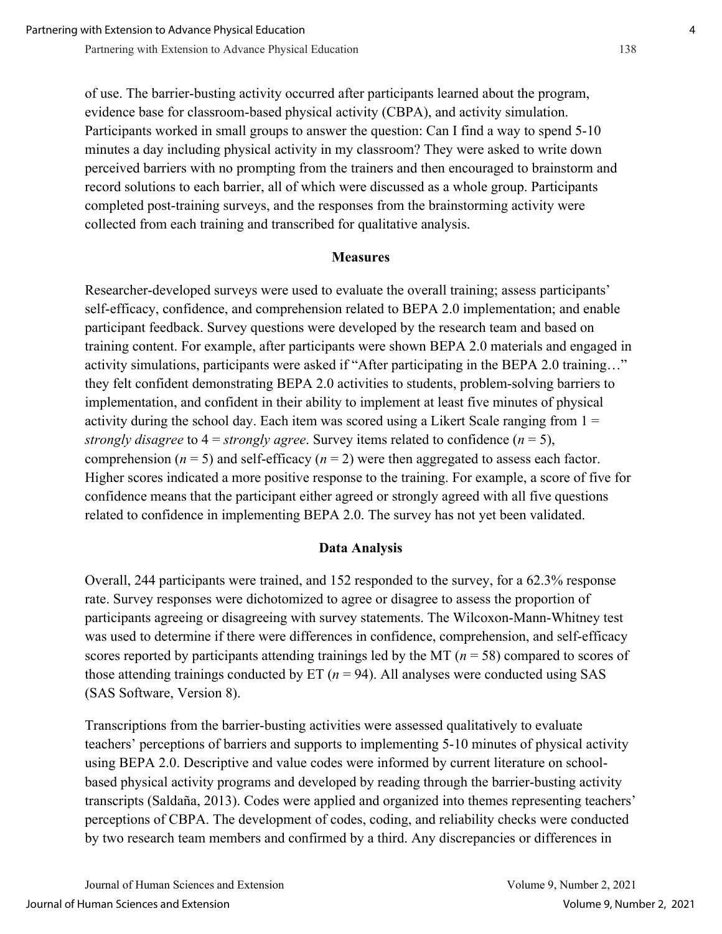of use. The barrier-busting activity occurred after participants learned about the program, evidence base for classroom-based physical activity (CBPA), and activity simulation. Participants worked in small groups to answer the question: Can I find a way to spend 5-10 minutes a day including physical activity in my classroom? They were asked to write down perceived barriers with no prompting from the trainers and then encouraged to brainstorm and record solutions to each barrier, all of which were discussed as a whole group. Participants completed post-training surveys, and the responses from the brainstorming activity were collected from each training and transcribed for qualitative analysis.

#### **Measures**

Researcher-developed surveys were used to evaluate the overall training; assess participants' self-efficacy, confidence, and comprehension related to BEPA 2.0 implementation; and enable participant feedback. Survey questions were developed by the research team and based on training content. For example, after participants were shown BEPA 2.0 materials and engaged in activity simulations, participants were asked if "After participating in the BEPA 2.0 training…" they felt confident demonstrating BEPA 2.0 activities to students, problem-solving barriers to implementation, and confident in their ability to implement at least five minutes of physical activity during the school day. Each item was scored using a Likert Scale ranging from  $1 =$ *strongly disagree* to  $4 =$  *strongly agree*. Survey items related to confidence ( $n = 5$ ), comprehension ( $n = 5$ ) and self-efficacy ( $n = 2$ ) were then aggregated to assess each factor. Higher scores indicated a more positive response to the training. For example, a score of five for confidence means that the participant either agreed or strongly agreed with all five questions related to confidence in implementing BEPA 2.0. The survey has not yet been validated.

#### **Data Analysis**

Overall, 244 participants were trained, and 152 responded to the survey, for a 62.3% response rate. Survey responses were dichotomized to agree or disagree to assess the proportion of participants agreeing or disagreeing with survey statements. The Wilcoxon-Mann-Whitney test was used to determine if there were differences in confidence, comprehension, and self-efficacy scores reported by participants attending trainings led by the MT (*n* = 58) compared to scores of those attending trainings conducted by ET  $(n = 94)$ . All analyses were conducted using SAS (SAS Software, Version 8).

Transcriptions from the barrier-busting activities were assessed qualitatively to evaluate teachers' perceptions of barriers and supports to implementing 5-10 minutes of physical activity using BEPA 2.0. Descriptive and value codes were informed by current literature on schoolbased physical activity programs and developed by reading through the barrier-busting activity transcripts (Saldaña, 2013). Codes were applied and organized into themes representing teachers' perceptions of CBPA. The development of codes, coding, and reliability checks were conducted by two research team members and confirmed by a third. Any discrepancies or differences in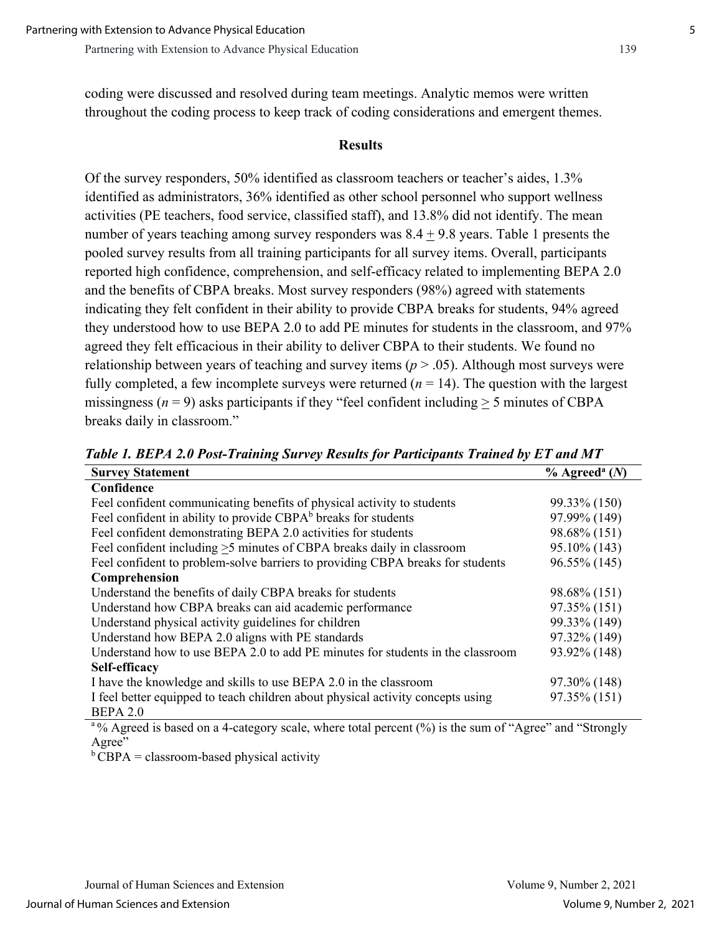coding were discussed and resolved during team meetings. Analytic memos were written throughout the coding process to keep track of coding considerations and emergent themes.

#### **Results**

Of the survey responders, 50% identified as classroom teachers or teacher's aides, 1.3% identified as administrators, 36% identified as other school personnel who support wellness activities (PE teachers, food service, classified staff), and 13.8% did not identify. The mean number of years teaching among survey responders was 8.4 + 9.8 years. Table 1 presents the pooled survey results from all training participants for all survey items. Overall, participants reported high confidence, comprehension, and self-efficacy related to implementing BEPA 2.0 and the benefits of CBPA breaks. Most survey responders (98%) agreed with statements indicating they felt confident in their ability to provide CBPA breaks for students, 94% agreed they understood how to use BEPA 2.0 to add PE minutes for students in the classroom, and 97% agreed they felt efficacious in their ability to deliver CBPA to their students. We found no relationship between years of teaching and survey items  $(p > .05)$ . Although most surveys were fully completed, a few incomplete surveys were returned  $(n = 14)$ . The question with the largest missingness ( $n = 9$ ) asks participants if they "feel confident including  $> 5$  minutes of CBPA breaks daily in classroom."

| <b>Survey Statement</b>                                                         | $%$ Agreed <sup>a</sup> (N) |
|---------------------------------------------------------------------------------|-----------------------------|
| Confidence                                                                      |                             |
| Feel confident communicating benefits of physical activity to students          | 99.33% (150)                |
| Feel confident in ability to provide CBPA <sup>b</sup> breaks for students      | 97.99% (149)                |
| Feel confident demonstrating BEPA 2.0 activities for students                   | 98.68% (151)                |
| Feel confident including >5 minutes of CBPA breaks daily in classroom           | 95.10% (143)                |
| Feel confident to problem-solve barriers to providing CBPA breaks for students  | 96.55% (145)                |
| Comprehension                                                                   |                             |
| Understand the benefits of daily CBPA breaks for students                       | 98.68% (151)                |
| Understand how CBPA breaks can aid academic performance                         | 97.35% (151)                |
| Understand physical activity guidelines for children                            | 99.33% (149)                |
| Understand how BEPA 2.0 aligns with PE standards                                | 97.32% (149)                |
| Understand how to use BEPA 2.0 to add PE minutes for students in the classroom  | 93.92% (148)                |
| Self-efficacy                                                                   |                             |
| I have the knowledge and skills to use BEPA 2.0 in the classroom                | 97.30% (148)                |
| I feel better equipped to teach children about physical activity concepts using | 97.35% (151)                |
| <b>BEPA 2.0</b>                                                                 |                             |

*Table 1. BEPA 2.0 Post-Training Survey Results for Participants Trained by ET and MT*

 $10\%$  Agreed is based on a 4-category scale, where total percent  $(%)$  is the sum of "Agree" and "Strongly Agree"

 $b$  CBPA = classroom-based physical activity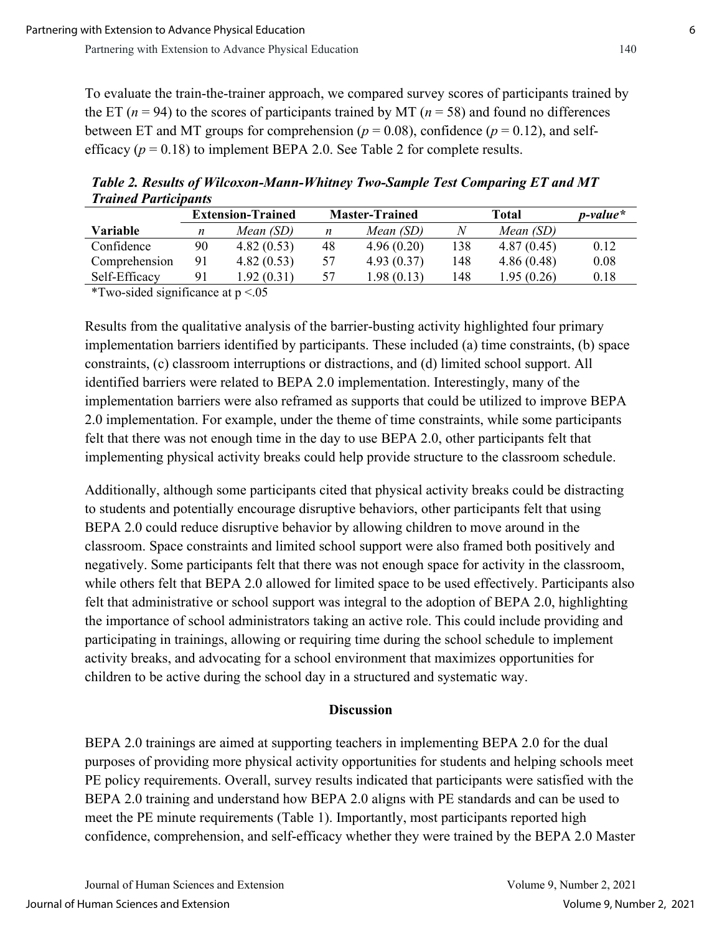To evaluate the train-the-trainer approach, we compared survey scores of participants trained by the ET ( $n = 94$ ) to the scores of participants trained by MT ( $n = 58$ ) and found no differences between ET and MT groups for comprehension ( $p = 0.08$ ), confidence ( $p = 0.12$ ), and selfefficacy  $(p = 0.18)$  to implement BEPA 2.0. See Table 2 for complete results.

*Table 2. Results of Wilcoxon-Mann-Whitney Two-Sample Test Comparing ET and MT Trained Participants*

|               | <b>Extension-Trained</b> |             | <b>Master-Trained</b> |             | Total |             | p-value* |
|---------------|--------------------------|-------------|-----------------------|-------------|-------|-------------|----------|
| Variable      | n                        | Mean (SD)   | n                     | Mean (SD)   |       | Mean (SD)   |          |
| Confidence    | 90                       | 4.82(0.53)  | 48                    | 4.96(0.20)  | 138   | 4.87(0.45)  | 0.12     |
| Comprehension | 91                       | 4.82(0.53)  | 57                    | 4.93(0.37)  | 148   | 4.86(0.48)  | 0.08     |
| Self-Efficacy |                          | 1.92 (0.31) | 57                    | 1.98 (0.13) | 148   | 1.95 (0.26) | 0.18     |
|               |                          |             |                       |             |       |             |          |

\*Two-sided significance at  $p < 0.05$ 

Results from the qualitative analysis of the barrier-busting activity highlighted four primary implementation barriers identified by participants. These included (a) time constraints, (b) space constraints, (c) classroom interruptions or distractions, and (d) limited school support. All identified barriers were related to BEPA 2.0 implementation. Interestingly, many of the implementation barriers were also reframed as supports that could be utilized to improve BEPA 2.0 implementation. For example, under the theme of time constraints, while some participants felt that there was not enough time in the day to use BEPA 2.0, other participants felt that implementing physical activity breaks could help provide structure to the classroom schedule.

Additionally, although some participants cited that physical activity breaks could be distracting to students and potentially encourage disruptive behaviors, other participants felt that using BEPA 2.0 could reduce disruptive behavior by allowing children to move around in the classroom. Space constraints and limited school support were also framed both positively and negatively. Some participants felt that there was not enough space for activity in the classroom, while others felt that BEPA 2.0 allowed for limited space to be used effectively. Participants also felt that administrative or school support was integral to the adoption of BEPA 2.0, highlighting the importance of school administrators taking an active role. This could include providing and participating in trainings, allowing or requiring time during the school schedule to implement activity breaks, and advocating for a school environment that maximizes opportunities for children to be active during the school day in a structured and systematic way.

#### **Discussion**

BEPA 2.0 trainings are aimed at supporting teachers in implementing BEPA 2.0 for the dual purposes of providing more physical activity opportunities for students and helping schools meet PE policy requirements. Overall, survey results indicated that participants were satisfied with the BEPA 2.0 training and understand how BEPA 2.0 aligns with PE standards and can be used to meet the PE minute requirements (Table 1). Importantly, most participants reported high confidence, comprehension, and self-efficacy whether they were trained by the BEPA 2.0 Master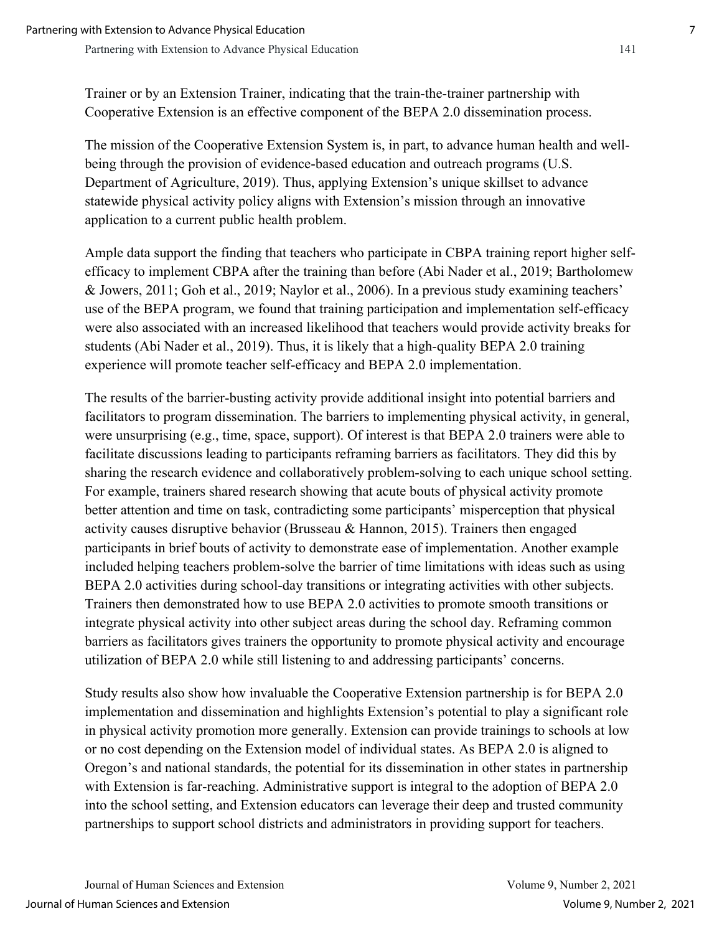Trainer or by an Extension Trainer, indicating that the train-the-trainer partnership with Cooperative Extension is an effective component of the BEPA 2.0 dissemination process.

The mission of the Cooperative Extension System is, in part, to advance human health and wellbeing through the provision of evidence-based education and outreach programs (U.S. Department of Agriculture, 2019). Thus, applying Extension's unique skillset to advance statewide physical activity policy aligns with Extension's mission through an innovative application to a current public health problem.

Ample data support the finding that teachers who participate in CBPA training report higher selfefficacy to implement CBPA after the training than before (Abi Nader et al., 2019; Bartholomew & Jowers, 2011; Goh et al., 2019; Naylor et al., 2006). In a previous study examining teachers' use of the BEPA program, we found that training participation and implementation self-efficacy were also associated with an increased likelihood that teachers would provide activity breaks for students (Abi Nader et al., 2019). Thus, it is likely that a high-quality BEPA 2.0 training experience will promote teacher self-efficacy and BEPA 2.0 implementation.

The results of the barrier-busting activity provide additional insight into potential barriers and facilitators to program dissemination. The barriers to implementing physical activity, in general, were unsurprising (e.g., time, space, support). Of interest is that BEPA 2.0 trainers were able to facilitate discussions leading to participants reframing barriers as facilitators. They did this by sharing the research evidence and collaboratively problem-solving to each unique school setting. For example, trainers shared research showing that acute bouts of physical activity promote better attention and time on task, contradicting some participants' misperception that physical activity causes disruptive behavior (Brusseau & Hannon, 2015). Trainers then engaged participants in brief bouts of activity to demonstrate ease of implementation. Another example included helping teachers problem-solve the barrier of time limitations with ideas such as using BEPA 2.0 activities during school-day transitions or integrating activities with other subjects. Trainers then demonstrated how to use BEPA 2.0 activities to promote smooth transitions or integrate physical activity into other subject areas during the school day. Reframing common barriers as facilitators gives trainers the opportunity to promote physical activity and encourage utilization of BEPA 2.0 while still listening to and addressing participants' concerns.

Study results also show how invaluable the Cooperative Extension partnership is for BEPA 2.0 implementation and dissemination and highlights Extension's potential to play a significant role in physical activity promotion more generally. Extension can provide trainings to schools at low or no cost depending on the Extension model of individual states. As BEPA 2.0 is aligned to Oregon's and national standards, the potential for its dissemination in other states in partnership with Extension is far-reaching. Administrative support is integral to the adoption of BEPA 2.0 into the school setting, and Extension educators can leverage their deep and trusted community partnerships to support school districts and administrators in providing support for teachers.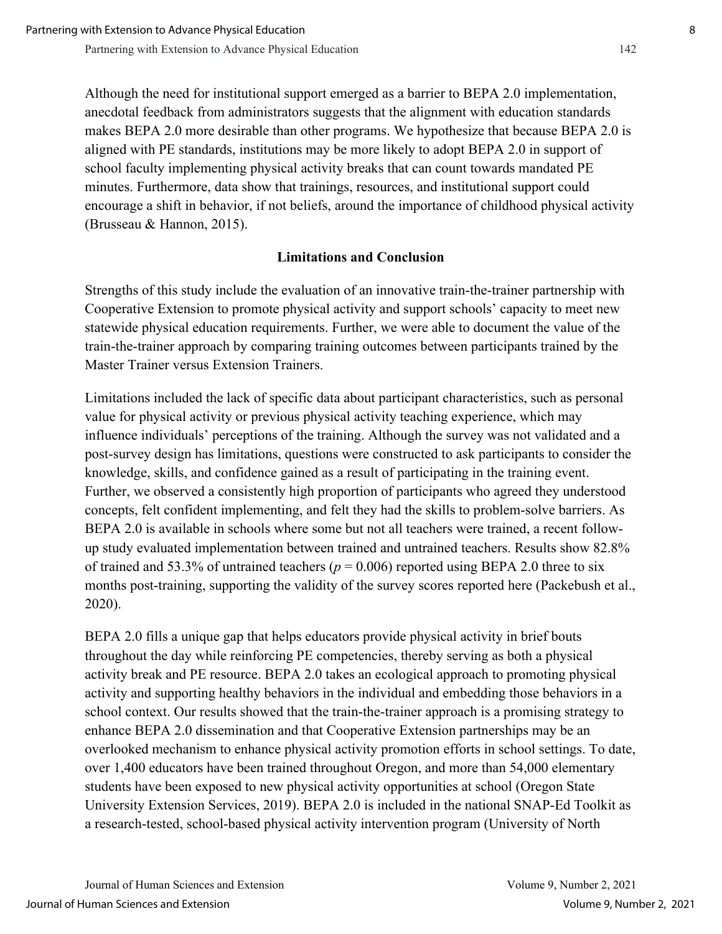Although the need for institutional support emerged as a barrier to BEPA 2.0 implementation, anecdotal feedback from administrators suggests that the alignment with education standards makes BEPA 2.0 more desirable than other programs. We hypothesize that because BEPA 2.0 is aligned with PE standards, institutions may be more likely to adopt BEPA 2.0 in support of school faculty implementing physical activity breaks that can count towards mandated PE minutes. Furthermore, data show that trainings, resources, and institutional support could encourage a shift in behavior, if not beliefs, around the importance of childhood physical activity (Brusseau & Hannon, 2015).

#### **Limitations and Conclusion**

Strengths of this study include the evaluation of an innovative train-the-trainer partnership with Cooperative Extension to promote physical activity and support schools' capacity to meet new statewide physical education requirements. Further, we were able to document the value of the train-the-trainer approach by comparing training outcomes between participants trained by the Master Trainer versus Extension Trainers.

Limitations included the lack of specific data about participant characteristics, such as personal value for physical activity or previous physical activity teaching experience, which may influence individuals' perceptions of the training. Although the survey was not validated and a post-survey design has limitations, questions were constructed to ask participants to consider the knowledge, skills, and confidence gained as a result of participating in the training event. Further, we observed a consistently high proportion of participants who agreed they understood concepts, felt confident implementing, and felt they had the skills to problem-solve barriers. As BEPA 2.0 is available in schools where some but not all teachers were trained, a recent followup study evaluated implementation between trained and untrained teachers. Results show 82.8% of trained and 53.3% of untrained teachers ( $p = 0.006$ ) reported using BEPA 2.0 three to six months post-training, supporting the validity of the survey scores reported here (Packebush et al., 2020).

BEPA 2.0 fills a unique gap that helps educators provide physical activity in brief bouts throughout the day while reinforcing PE competencies, thereby serving as both a physical activity break and PE resource. BEPA 2.0 takes an ecological approach to promoting physical activity and supporting healthy behaviors in the individual and embedding those behaviors in a school context. Our results showed that the train-the-trainer approach is a promising strategy to enhance BEPA 2.0 dissemination and that Cooperative Extension partnerships may be an overlooked mechanism to enhance physical activity promotion efforts in school settings. To date, over 1,400 educators have been trained throughout Oregon, and more than 54,000 elementary students have been exposed to new physical activity opportunities at school (Oregon State University Extension Services, 2019). BEPA 2.0 is included in the national SNAP-Ed Toolkit as a research-tested, school-based physical activity intervention program (University of North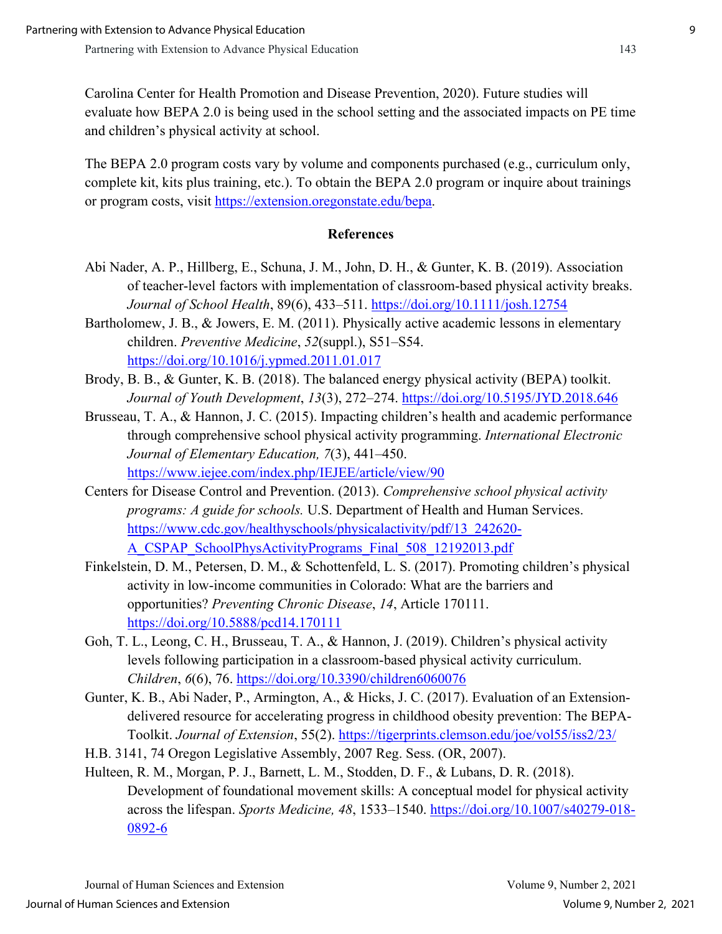Carolina Center for Health Promotion and Disease Prevention, 2020). Future studies will evaluate how BEPA 2.0 is being used in the school setting and the associated impacts on PE time and children's physical activity at school.

The BEPA 2.0 program costs vary by volume and components purchased (e.g., curriculum only, complete kit, kits plus training, etc.). To obtain the BEPA 2.0 program or inquire about trainings or program costs, visit <https://extension.oregonstate.edu/bepa>.

## **References**

- Abi Nader, A. P., Hillberg, E., Schuna, J. M., John, D. H., & Gunter, K. B. (2019). Association of teacher-level factors with implementation of classroom-based physical activity breaks. *Journal of School Health*, 89(6), 433–511. <https://doi.org/10.1111/josh.12754>
- Bartholomew, J. B., & Jowers, E. M. (2011). Physically active academic lessons in elementary children. *Preventive Medicine*, *52*(suppl.), S51–S54. <https://doi.org/10.1016/j.ypmed.2011.01.017>
- Brody, B. B., & Gunter, K. B. (2018). The balanced energy physical activity (BEPA) toolkit. *Journal of Youth Development*, *13*(3), 272–274. <https://doi.org/10.5195/JYD.2018.646>
- Brusseau, T. A., & Hannon, J. C. (2015). Impacting children's health and academic performance through comprehensive school physical activity programming. *International Electronic Journal of Elementary Education, 7*(3), 441–450. <https://www.iejee.com/index.php/IEJEE/article/view/90>
- Centers for Disease Control and Prevention. (2013). *Comprehensive school physical activity programs: A guide for schools.* U.S. Department of Health and Human Services. [https://www.cdc.gov/healthyschools/physicalactivity/pdf/13\\_242620](https://www.cdc.gov/healthyschools/physicalactivity/pdf/13_242620-A_CSPAP_SchoolPhysActivityPrograms_Final_508_12192013.pdf)- [A\\_CSPAP\\_SchoolPhysActivityPrograms\\_Final\\_508\\_12192013.pdf](https://www.cdc.gov/healthyschools/physicalactivity/pdf/13_242620-A_CSPAP_SchoolPhysActivityPrograms_Final_508_12192013.pdf)
- Finkelstein, D. M., Petersen, D. M., & Schottenfeld, L. S. (2017). Promoting children's physical activity in low-income communities in Colorado: What are the barriers and opportunities? *Preventing Chronic Disease*, *14*, Article 170111. <https://doi.org/10.5888/pcd14.170111>
- Goh, T. L., Leong, C. H., Brusseau, T. A., & Hannon, J. (2019). Children's physical activity levels following participation in a classroom-based physical activity curriculum. *Children*, *6*(6), 76. <https://doi.org/10.3390/children6060076>
- Gunter, K. B., Abi Nader, P., Armington, A., & Hicks, J. C. (2017). Evaluation of an Extensiondelivered resource for accelerating progress in childhood obesity prevention: The BEPA-Toolkit. *Journal of Extension*, 55(2). <https://tigerprints.clemson.edu/joe/vol55/iss2/23/>
- H.B. 3141, 74 Oregon Legislative Assembly, 2007 Reg. Sess. (OR, 2007).

Hulteen, R. M., Morgan, P. J., Barnett, L. M., Stodden, D. F., & Lubans, D. R. (2018). Development of foundational movement skills: A conceptual model for physical activity across the lifespan. *Sports Medicine, 48*, 1533–1540. [https://doi.org/10.1007/s40279](https://doi.org/10.1007/s40279-018-0892-6)-018- [0892-6](https://doi.org/10.1007/s40279-018-0892-6)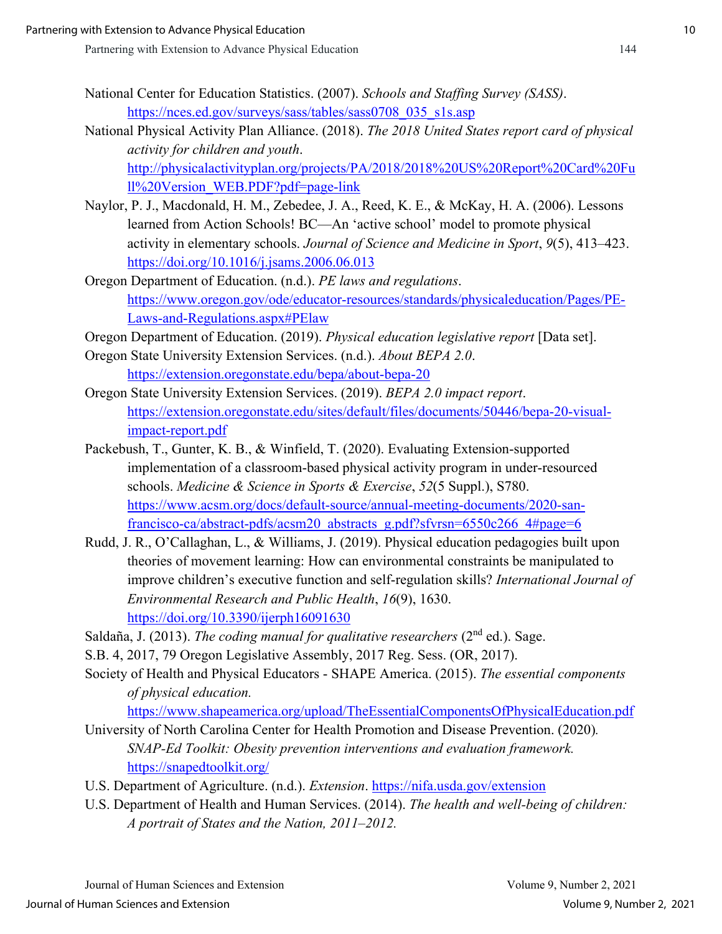- National Center for Education Statistics. (2007). *Schools and Staffing Survey (SASS)*. [https://nces.ed.gov/surveys/sass/tables/sass0708\\_035\\_s1s.asp](https://nces.ed.gov/surveys/sass/tables/sass0708_035_s1s.asp)
- National Physical Activity Plan Alliance. (2018). *The 2018 United States report card of physical activity for children and youth*. [http://physicalactivityplan.org/projects/PA/2018/2018%20US%20Report%20Card%20Fu](http://physicalactivityplan.org/projects/PA/2018/2018%20US%20Report%20Card%20Full%20Version_WEB.PDF?pdf=page-link) [ll%20Version\\_WEB.PDF?pdf=page](http://physicalactivityplan.org/projects/PA/2018/2018%20US%20Report%20Card%20Full%20Version_WEB.PDF?pdf=page-link)-link
- Naylor, P. J., Macdonald, H. M., Zebedee, J. A., Reed, K. E., & McKay, H. A. (2006). Lessons learned from Action Schools! BC—An 'active school' model to promote physical activity in elementary schools. *Journal of Science and Medicine in Sport*, *9*(5), 413–423. <https://doi.org/10.1016/j.jsams.2006.06.013>
- Oregon Department of Education. (n.d.). *PE laws and regulations*. https://www.oregon.gov/ode/educator-[resources/standards/physicaleducation/Pages/PE](https://www.oregon.gov/ode/educator-resources/standards/physicaleducation/Pages/PE-Laws-and-Regulations.aspx#PElaw)-[Laws-and-Regulations.aspx#PElaw](https://www.oregon.gov/ode/educator-resources/standards/physicaleducation/Pages/PE-Laws-and-Regulations.aspx#PElaw)
- Oregon Department of Education. (2019). *Physical education legislative report* [Data set].
- Oregon State University Extension Services. (n.d.). *About BEPA 2.0*. [https://extension.oregonstate.edu/bepa/about](https://extension.oregonstate.edu/bepa/about-bepa-20)-bepa-20
- Oregon State University Extension Services. (2019). *BEPA 2.0 impact report*. [https://extension.oregonstate.edu/sites/default/files/documents/50446/bepa](https://extension.oregonstate.edu/sites/default/files/documents/50446/bepa-20-visual-impact-report.pdf)-20-visual[impact-report.pdf](https://extension.oregonstate.edu/sites/default/files/documents/50446/bepa-20-visual-impact-report.pdf)
- Packebush, T., Gunter, K. B., & Winfield, T. (2020). Evaluating Extension-supported implementation of a classroom-based physical activity program in under-resourced schools. *Medicine & Science in Sports & Exercise*, *52*(5 Suppl.), S780. ht[tps://www.acsm.org/docs/default](https://www.acsm.org/docs/default-source/annual-meeting-documents/2020-san-francisco-ca/abstract-pdfs/acsm20_abstracts_g.pdf?sfvrsn=6550c266_4#page=6)-source/annual-meeting-documents/2020-sanfrancisco-ca/abstract-[pdfs/acsm20\\_abstracts\\_g.pdf?sfvrsn=6550c266\\_4#page=6](https://www.acsm.org/docs/default-source/annual-meeting-documents/2020-san-francisco-ca/abstract-pdfs/acsm20_abstracts_g.pdf?sfvrsn=6550c266_4#page=6)
- Rudd, J. R., O'Callaghan, L., & Williams, J. (2019). Physical education pedagogies built upon theories of movement learning: How can environmental constraints be manipulated to improve children's executive function and self-regulation skills? *International Journal of Environmental Research and Public Health*, *16*(9), 1630. <https://doi.org/10.3390/ijerph16091630>
- Saldaña, J. (2013). *The coding manual for qualitative researchers* (2<sup>nd</sup> ed.). Sage.
- S.B. 4, 2017, 79 Oregon Legislative Assembly, 2017 Reg. Sess. (OR, 2017).
- Society of Health and Physical Educators SHAPE America. (2015). *The essential components of physical education.*

[https://www.shapeamerica.org/upload/TheEssen](https://www.shapeamerica.org/upload/TheEssentialComponentsOfPhysicalEducation.pdf)tialComponentsOfPhysicalEducation.pdf

- University of North Carolina Center for Health Promotion and Disease Prevention. (2020)*. SNAP-Ed Toolkit: Obesity prevention interventions and evaluation framework.*  <https://snapedtoolkit.org/>
- U.S. Department of Agriculture. (n.d.). *Extension*. <https://nifa.usda.gov/extension>
- U.S. Department of Health and Human Services. (2014). *The health and well-being of children: A portrait of States and the Nation, 2011–2012.*